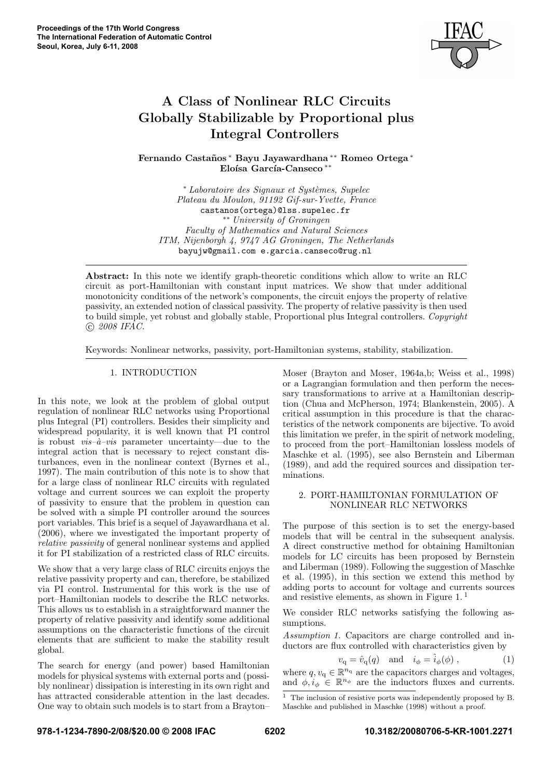

# A Class of Nonlinear RLC Circuits Globally Stabilizable by Proportional plus Integral Controllers

Fernando Castaños\* Bayu Jayawardhana\*\* Romeo Ortega*\** Eloísa García-Canseco \*\*

<sup>∗</sup> Laboratoire des Signaux et Syst`emes, Supelec Plateau du Moulon, 91192 Gif-sur-Yvette, France castanos(ortega)@lss.supelec.fr ∗∗ University of Groningen Faculty of Mathematics and Natural Sciences ITM, Nijenborgh 4, 9747 AG Groningen, The Netherlands bayujw@gmail.com e.garcia.canseco@rug.nl

Abstract: In this note we identify graph-theoretic conditions which allow to write an RLC circuit as port-Hamiltonian with constant input matrices. We show that under additional monotonicity conditions of the network's components, the circuit enjoys the property of relative passivity, an extended notion of classical passivity. The property of relative passivity is then used to build simple, yet robust and globally stable, Proportional plus Integral controllers. Copyright °c 2008 IFAC.

Keywords: Nonlinear networks, passivity, port-Hamiltonian systems, stability, stabilization.

# 1. INTRODUCTION

In this note, we look at the problem of global output regulation of nonlinear RLC networks using Proportional plus Integral (PI) controllers. Besides their simplicity and widespread popularity, it is well known that PI control is robust  $vis-\hat{a}-vis$  parameter uncertainty—due to the integral action that is necessary to reject constant disturbances, even in the nonlinear context (Byrnes et al., 1997). The main contribution of this note is to show that for a large class of nonlinear RLC circuits with regulated voltage and current sources we can exploit the property of passivity to ensure that the problem in question can be solved with a simple PI controller around the sources port variables. This brief is a sequel of Jayawardhana et al. (2006), where we investigated the important property of relative passivity of general nonlinear systems and applied it for PI stabilization of a restricted class of RLC circuits.

We show that a very large class of RLC circuits enjoys the relative passivity property and can, therefore, be stabilized via PI control. Instrumental for this work is the use of port–Hamiltonian models to describe the RLC networks. This allows us to establish in a straightforward manner the property of relative passivity and identify some additional assumptions on the characteristic functions of the circuit elements that are sufficient to make the stability result global.

The search for energy (and power) based Hamiltonian models for physical systems with external ports and (possibly nonlinear) dissipation is interesting in its own right and has attracted considerable attention in the last decades. One way to obtain such models is to start from a Brayton–

Moser (Brayton and Moser, 1964a,b; Weiss et al., 1998) or a Lagrangian formulation and then perform the necessary transformations to arrive at a Hamiltonian description (Chua and McPherson, 1974; Blankenstein, 2005). A critical assumption in this procedure is that the characteristics of the network components are bijective. To avoid this limitation we prefer, in the spirit of network modeling, to proceed from the port–Hamiltonian lossless models of Maschke et al. (1995), see also Bernstein and Liberman (1989), and add the required sources and dissipation terminations.

## 2. PORT-HAMILTONIAN FORMULATION OF NONLINEAR RLC NETWORKS

The purpose of this section is to set the energy-based models that will be central in the subsequent analysis. A direct constructive method for obtaining Hamiltonian models for LC circuits has been proposed by Bernstein and Liberman (1989). Following the suggestion of Maschke et al. (1995), in this section we extend this method by adding ports to account for voltage and currents sources and resistive elements, as shown in Figure 1. 1

We consider RLC networks satisfying the following assumptions.

Assumption 1. Capacitors are charge controlled and inductors are flux controlled with characteristics given by

$$
v_{\mathbf{q}} = \hat{v}_{\mathbf{q}}(q) \quad \text{and} \quad i_{\phi} = \hat{i}_{\phi}(\phi) , \tag{1}
$$

where  $q, v_q \in \mathbb{R}^{n_q}$  are the capacitors charges and voltages, and  $\phi, \dot{i}_{\phi} \in \mathbb{R}^{n_{\phi}}$  are the inductors fluxes and currents.

 $1$  The inclusion of resistive ports was independently proposed by B. Maschke and published in Maschke (1998) without a proof.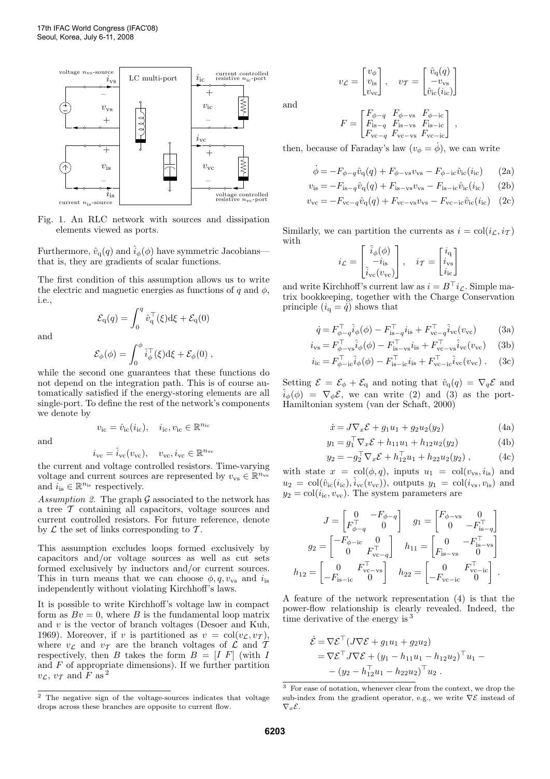

Fig. 1. An RLC network with sources and dissipation elements viewed as ports.

Furthermore,  $\hat{v}_q(q)$  and  $\hat{i}_{\phi}(\phi)$  have symmetric Jacobians that is, they are gradients of scalar functions.

The first condition of this assumption allows us to write the electric and magnetic energies as functions of q and  $\phi$ , i.e.,

 $\mathcal{E}_{\text{q}}(q) = \int^q$ 

0

and

$$
\mathcal{E}_{\phi}(\phi) = \int_0^{\phi} \hat{i}_{\phi}^{\top}(\xi) \mathrm{d}\xi + \mathcal{E}_{\phi}(0) ,
$$

 $\hat{v}_{\mathrm{q}}^{\top}(\xi)\mathrm{d}\xi + \mathcal{E}_{\mathrm{q}}(0)$ 

while the second one guarantees that these functions do not depend on the integration path. This is of course automatically satisfied if the energy-storing elements are all single-port. To define the rest of the network's components we denote by

and

$$
v_{\rm ic} = \hat{v}_{\rm ic} (i_{\rm ic}), \quad i_{\rm ic}, v_{\rm ic} \in \mathbb{R}^{n_{\rm ic}}
$$

 $i_{\text{vc}} = \hat{i}_{\text{vc}}(v_{\text{vc}}), \quad v_{\text{vc}}, i_{\text{vc}} \in \mathbb{R}^{n_{\text{vc}}}$ the current and voltage controlled resistors. Time-varying voltage and current sources are represented by  $v_{\text{vs}} \in \mathbb{R}^{n_{\text{vs}}}$ and  $\widetilde{i}_{is} \in \mathbb{R}^{n_{is}}$  respectively.

Assumption 2. The graph  $G$  associated to the network has a tree T containing all capacitors, voltage sources and current controlled resistors. For future reference, denote by  $\mathcal L$  the set of links corresponding to  $\mathcal T$ .

This assumption excludes loops formed exclusively by capacitors and/or voltage sources as well as cut sets formed exclusively by inductors and/or current sources. This in turn means that we can choose  $\phi, q, v_{\rm vs}$  and  $i_{\rm is}$ independently without violating Kirchhoff's laws.

It is possible to write Kirchhoff's voltage law in compact form as  $Bv = 0$ , where B is the fundamental loop matrix and  $v$  is the vector of branch voltages (Desoer and Kuh, 1969). Moreover, if v is partitioned as  $v = col(v<sub>L</sub>, v<sub>T</sub>)$ , where  $v_{\mathcal{L}}$  and  $v_{\mathcal{T}}$  are the branch voltages of  $\mathcal{L}$  and  $\mathcal{T}$ respectively, then B takes the form  $B = [I \ F]$  (with I and  $F$  of appropriate dimensions). If we further partition  $v_{\mathcal{L}}$ ,  $v_{\mathcal{T}}$  and  $\overline{F}$  as <sup>2</sup>

$$
v_{\mathcal{L}} = \begin{bmatrix} v_{\phi} \\ v_{\text{is}} \\ v_{\text{vc}} \end{bmatrix}, \quad v_{\mathcal{T}} = \begin{bmatrix} \hat{v}_{\text{q}}(q) \\ -v_{\text{vs}} \\ \hat{v}_{\text{ic}}(i_{\text{ic}}) \end{bmatrix}
$$

and

$$
F = \begin{bmatrix} F_{\phi-q} & F_{\phi-\text{vs}} & F_{\phi-\text{ic}} \\ F_{\text{is}-q} & F_{\text{is}-\text{vs}} & F_{\text{is}-\text{ic}} \\ F_{\text{vc}-q} & F_{\text{vc}-\text{vs}} & F_{\text{vc}-\text{ic}} \end{bmatrix} ,
$$

then, because of Faraday's law  $(v_{\phi} = \dot{\phi})$ , we can write

$$
\dot{\phi} = -F_{\phi - q}\hat{v}_{\mathbf{q}}(q) + F_{\phi - \mathbf{vs}}v_{\mathbf{vs}} - F_{\phi - \mathbf{ic}}\hat{v}_{\mathbf{ic}}(i_{\mathbf{ic}})
$$
 (2a)

$$
v_{\rm is} = -F_{\rm is-q}\hat{v}_{\rm q}(q) + F_{\rm is-vs}v_{\rm vs} - F_{\rm is-ic}\hat{v}_{\rm ic}(i_{\rm ic}) \qquad (2b)
$$

$$
v_{\rm vc} = -F_{\rm vc-q} \hat{v}_{\rm q}(q) + F_{\rm vc-s} v_{\rm vs} - F_{\rm vc-i c} \hat{v}_{\rm ic}(i_{\rm ic}) \quad (2c)
$$

Similarly, we can partition the currents as  $i = col(i_{\mathcal{L}}, i_{\mathcal{T}})$ with

$$
i_{\mathcal{L}} = \begin{bmatrix} \hat{i}_{\phi}(\phi) \\ -i_{\text{is}} \\ \hat{i}_{\text{vc}}(v_{\text{vc}}) \end{bmatrix}, \quad i_{\mathcal{T}} = \begin{bmatrix} i_{\text{q}} \\ i_{\text{vs}} \\ i_{\text{ic}} \end{bmatrix}
$$

and write Kirchhoff's current law as  $i = B^{\top} i_{\mathcal{L}}$ . Simple matrix bookkeeping, together with the Charge Conservation principle  $(i_q = \dot{q})$  shows that

$$
\dot{q} = F_{\phi - q}^{\top} \hat{i}_{\phi}(\phi) - F_{\text{is}-q}^{\top} i_{\text{is}} + F_{\text{vc}-q}^{\top} \hat{i}_{\text{vc}}(v_{\text{vc}})
$$
(3a)

$$
i_{\rm vs} = F_{\phi - \rm vs}^{\top} \hat{i}_{\phi}(\phi) - F_{\rm is-vs}^{\top} i_{\rm is} + F_{\rm v-c-s}^{\top} \hat{i}_{\rm vc}(v_{\rm vc}) \quad (3b)
$$

$$
i_{\rm ic} = F_{\phi - \rm ic}^{\top} \hat{i}_{\phi}(\phi) - F_{\rm is-ic}^{\top} i_{\rm is} + F_{\rm vc-ic}^{\top} \hat{i}_{\rm vc}(v_{\rm vc}) \ . \tag{3c}
$$

Setting  $\mathcal{E} = \mathcal{E}_{\phi} + \mathcal{E}_{q}$  and noting that  $\hat{v}_{q}(q) = \nabla_{q} \mathcal{E}$  and  $\hat{i}_{\phi}(\phi) = \nabla_{\phi} \mathcal{E}$ , we can write (2) and (3) as the port-Hamiltonian system (van der Schaft, 2000)

$$
\dot{x} = J\nabla_x \mathcal{E} + g_1 u_1 + g_2 u_2(y_2)
$$
\n(4a)

$$
y_1 = g_1^\top \nabla_x \mathcal{E} + h_{11} u_1 + h_{12} u_2(y_2)
$$
 (4b)

$$
y_2 = -g_2^{\top} \nabla_x \mathcal{E} + h_{12}^{\top} u_1 + h_{22} u_2(y_2) , \qquad (4c)
$$

with state  $x = \text{col}(\phi, q)$ , inputs  $u_1 = \text{col}(v_{\text{vs}}, i_{\text{is}})$  and  $u_2 = \text{col}(\hat{v}_{\text{ic}}(i_{\text{ic}}), \hat{i}_{\text{vc}}(v_{\text{vc}}))$ , outputs  $y_1 = \text{col}(i_{\text{vs}}, v_{\text{is}})$  and  $y_2 = \text{col}(i_{\text{ic}}, v_{\text{vc}})$ . The system parameters are

$$
J = \begin{bmatrix} 0 & -F_{\phi-q} \\ F_{\phi-q}^{\top} & 0 \end{bmatrix} \quad g_1 = \begin{bmatrix} F_{\phi-\text{vs}} & 0 \\ 0 & -F_{\text{is}-q}^{\top} \end{bmatrix}
$$

$$
g_2 = \begin{bmatrix} -F_{\phi-\text{ic}} & 0 \\ 0 & F_{\text{vc}-q}^{\top} \end{bmatrix} \quad h_{11} = \begin{bmatrix} 0 & -F_{\text{is}-\text{vs}}^{\top} \\ F_{\text{is}-\text{vs}} & 0 \end{bmatrix}
$$

$$
h_{12} = \begin{bmatrix} 0 & F_{\text{vc}-\text{vs}}^{\top} \\ -F_{\text{is}-\text{ic}} & 0 \end{bmatrix} \quad h_{22} = \begin{bmatrix} 0 & F_{\text{vc}-\text{ic}}^{\top} \\ -F_{\text{vc}-\text{ic}} & 0 \end{bmatrix}.
$$

A feature of the network representation (4) is that the power-flow relationship is clearly revealed. Indeed, the time derivative of the energy is<sup>3</sup>

$$
\dot{\mathcal{E}} = \nabla \mathcal{E}^\top (J \nabla \mathcal{E} + g_1 u_1 + g_2 u_2)
$$
  
= 
$$
\nabla \mathcal{E}^\top J \nabla \mathcal{E} + (y_1 - h_{11} u_1 - h_{12} u_2)^\top u_1 - (y_2 - h_{12}^\top u_1 - h_{22} u_2)^\top u_2.
$$

<sup>2</sup> The negative sign of the voltage-sources indicates that voltage drops across these branches are opposite to current flow.

 $\overline{3}$  For ease of notation, whenever clear from the context, we drop the sub-index from the gradient operator, e.g., we write  $\nabla \mathcal{E}$  instead of  $\nabla_x \mathcal{E}.$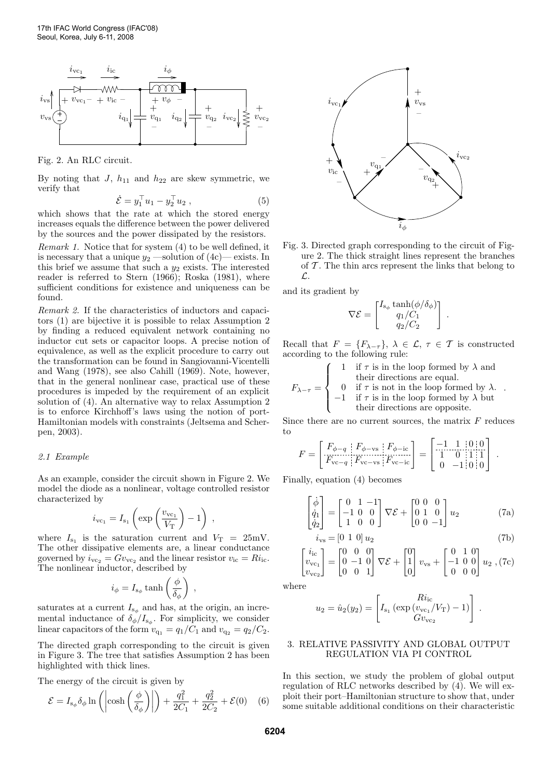

Fig. 2. An RLC circuit.

By noting that  $J$ ,  $h_{11}$  and  $h_{22}$  are skew symmetric, we verify that

$$
\dot{\mathcal{E}} = y_1^\top u_1 - y_2^\top u_2 , \qquad (5)
$$

which shows that the rate at which the stored energy increases equals the difference between the power delivered by the sources and the power dissipated by the resistors.

Remark 1. Notice that for system (4) to be well defined, it is necessary that a unique  $y_2$  —solution of  $(4c)$ — exists. In this brief we assume that such a  $y_2$  exists. The interested reader is referred to Stern (1966); Roska (1981), where sufficient conditions for existence and uniqueness can be found.

Remark 2. If the characteristics of inductors and capacitors (1) are bijective it is possible to relax Assumption 2 by finding a reduced equivalent network containing no inductor cut sets or capacitor loops. A precise notion of equivalence, as well as the explicit procedure to carry out the transformation can be found in Sangiovanni-Vicentelli and Wang (1978), see also Cahill (1969). Note, however, that in the general nonlinear case, practical use of these procedures is impeded by the requirement of an explicit solution of (4). An alternative way to relax Assumption 2 is to enforce Kirchhoff's laws using the notion of port-Hamiltonian models with constraints (Jeltsema and Scherpen, 2003).

#### 2.1 Example

As an example, consider the circuit shown in Figure 2. We model the diode as a nonlinear, voltage controlled resistor characterized by

$$
i_{\rm vc_1} = I_{s_1} \left( \exp\left(\frac{v_{\rm vc_1}}{V_{\rm T}}\right) - 1\right) ,
$$

where  $I_{s_1}$  is the saturation current and  $V_T = 25 \text{mV}$ . The other dissipative elements are, a linear conductance governed by  $i_{\text{vc}_2} = Gv_{\text{vc}_2}$  and the linear resistor  $v_{\text{ic}} = Ri_{\text{ic}}$ . The nonlinear inductor, described by

$$
i_{\phi} = I_{s_{\phi}} \tanh\left(\frac{\phi}{\delta_{\phi}}\right) ,
$$

saturates at a current  $I_{s_{\phi}}$  and has, at the origin, an incremental inductance of  $\delta_{\phi}/I_{s_{\phi}}$ . For simplicity, we consider linear capacitors of the form  $v_{\mathbf{q}_1} = q_1/C_1$  and  $v_{\mathbf{q}_2} = q_2/C_2$ .

The directed graph corresponding to the circuit is given in Figure 3. The tree that satisfies Assumption 2 has been highlighted with thick lines.

The energy of the circuit is given by

$$
\mathcal{E} = I_{s_{\phi}} \delta_{\phi} \ln \left( \left| \cosh \left( \frac{\phi}{\delta_{\phi}} \right) \right| \right) + \frac{q_1^2}{2C_1} + \frac{q_2^2}{2C_2} + \mathcal{E}(0) \quad (6)
$$



Fig. 3. Directed graph corresponding to the circuit of Figure 2. The thick straight lines represent the branches of  $\mathcal T$ . The thin arcs represent the links that belong to L.

and its gradient by

$$
\nabla \mathcal{E} = \begin{bmatrix} I_{\mathbf{s}_{\phi}} \tanh(\phi/\delta_{\phi}) \\ q_1/C_1 \\ q_2/C_2 \end{bmatrix}
$$

.

.

Recall that  $F = \{F_{\lambda-\tau}\}\,$ ,  $\lambda \in \mathcal{L}, \tau \in \mathcal{T}$  is constructed according to the following rule:

$$
F_{\lambda-\tau} = \begin{cases} 1 & \text{if } \tau \text{ is in the loop formed by } \lambda \text{ and} \\ 0 & \text{if } \tau \text{ is not in the loop formed by } \lambda. \\ -1 & \text{if } \tau \text{ is in the loop formed by } \lambda \text{ but} \\ \text{their directions are opposite.} \end{cases}
$$

Since there are no current sources, the matrix  $F$  reduces to

$$
F = \begin{bmatrix} F_{\phi-q} & F_{\phi-\text{vs}} & F_{\phi-\text{ic}} \\ \hline F_{\text{vc}-q} & F_{\text{vc}-\text{vs}} & F_{\text{vc}-\text{ic}} \end{bmatrix} = \begin{bmatrix} -1 & 1 & 0 & 0 \\ 1 & 0 & 1 & 1 \\ 0 & -1 & 0 & 0 \end{bmatrix}.
$$

Finally, equation (4) becomes

$$
\begin{bmatrix} \dot{\phi} \\ \dot{q}_1 \\ \dot{q}_2 \end{bmatrix} = \begin{bmatrix} 0 & 1 & -1 \\ -1 & 0 & 0 \\ 1 & 0 & 0 \end{bmatrix} \nabla \mathcal{E} + \begin{bmatrix} 0 & 0 & 0 \\ 0 & 1 & 0 \\ 0 & 0 & -1 \end{bmatrix} u_2 \tag{7a}
$$

$$
i_{\rm vs} = [0 \ 1 \ 0] \, u_2 \tag{7b}
$$

$$
\begin{bmatrix} i_{\text{ic}} \\ v_{\text{vc}_1} \\ v_{\text{vc}_2} \end{bmatrix} = \begin{bmatrix} 0 & 0 & 0 \\ 0 & -1 & 0 \\ 0 & 0 & 1 \end{bmatrix} \nabla \mathcal{E} + \begin{bmatrix} 0 \\ 1 \\ 0 \end{bmatrix} v_{\text{vs}} + \begin{bmatrix} 0 & 1 & 0 \\ -1 & 0 & 0 \\ 0 & 0 & 0 \end{bmatrix} u_2 , (7c)
$$

where

$$
u_2 = \hat{u}_2(y_2) = \begin{bmatrix} Ri_{ic} \\ I_{s_1} (\exp(v_{\text{vc}_1}/V_{\text{T}}) - 1) \\ G v_{\text{vc}_2} \end{bmatrix}.
$$

## 3. RELATIVE PASSIVITY AND GLOBAL OUTPUT REGULATION VIA PI CONTROL

In this section, we study the problem of global output regulation of RLC networks described by (4). We will exploit their port–Hamiltonian structure to show that, under some suitable additional conditions on their characteristic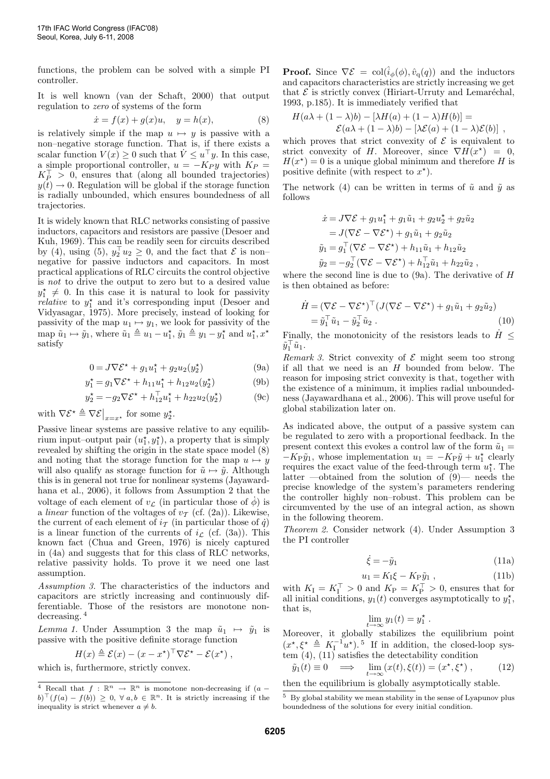functions, the problem can be solved with a simple PI controller.

It is well known (van der Schaft, 2000) that output regulation to zero of systems of the form

$$
\dot{x} = f(x) + g(x)u, \quad y = h(x), \tag{8}
$$

is relatively simple if the map  $u \mapsto y$  is passive with a non–negative storage function. That is, if there exists a scalar function  $V(x) \geq 0$  such that  $\dot{V} \leq u^{\top}y$ . In this case, a simple proportional controller,  $u = -K_P y$  with  $K_P =$  $K_P^{\top} > 0$ , ensures that (along all bounded trajectories)  $y(t) \rightarrow 0$ . Regulation will be global if the storage function is radially unbounded, which ensures boundedness of all trajectories.

It is widely known that RLC networks consisting of passive inductors, capacitors and resistors are passive (Desoer and Kuh, 1969). This can be readily seen for circuits described by (4), using (5),  $y_2^\top u_2 \geq 0$ , and the fact that  $\mathcal E$  is nonnegative for passive inductors and capacitors. In most practical applications of RLC circuits the control objective is not to drive the output to zero but to a desired value  $y_1^* \neq 0$ . In this case it is natural to look for passivity *relative* to  $y_1^*$  and it's corresponding input (Desoer and Vidyasagar, 1975). More precisely, instead of looking for passivity of the map  $u_1 \mapsto y_1$ , we look for passivity of the map  $\tilde{u}_1 \mapsto \tilde{y}_1$ , where  $\tilde{u}_1 \triangleq u_1 - u_1^{\star}$ ,  $\tilde{y}_1 \triangleq y_1 - y_1^{\star}$  and  $u_1^{\star}, x^{\star}$ satisfy

$$
0 = J \nabla \mathcal{E}^* + g_1 u_1^* + g_2 u_2 (y_2^*)
$$
 (9a)

$$
y_1^* = g_1 \nabla \mathcal{E}^* + h_{11} u_1^* + h_{12} u_2(y_2^*)
$$
 (9b)

$$
y_2^* = -g_2 \nabla \mathcal{E}^* + h_{12}^\top u_1^* + h_{22} u_2(y_2^*)
$$
 (9c)

with  $\nabla \mathcal{E}^* \triangleq \nabla \mathcal{E} \big|_{x=x^*}$  for some  $y_2^*$ .

Passive linear systems are passive relative to any equilibrium input–output pair  $(u_1^*, y_1^*)$ , a property that is simply revealed by shifting the origin in the state space model (8) and noting that the storage function for the map  $u \mapsto y$ will also qualify as storage function for  $\tilde{u} \mapsto \tilde{y}$ . Although this is in general not true for nonlinear systems (Jayawardhana et al., 2006), it follows from Assumption 2 that the voltage of each element of  $v_{\mathcal{L}}$  (in particular those of  $\phi$ ) is a *linear* function of the voltages of  $v_{\mathcal{T}}$  (cf. (2a)). Likewise, the current of each element of  $i<sub>T</sub>$  (in particular those of q) is a linear function of the currents of  $i_{\mathcal{L}}$  (cf. (3a)). This known fact (Chua and Green, 1976) is nicely captured in (4a) and suggests that for this class of RLC networks, relative passivity holds. To prove it we need one last assumption.

Assumption 3. The characteristics of the inductors and capacitors are strictly increasing and continuously differentiable. Those of the resistors are monotone nondecreasing. 4

Lemma 1. Under Assumption 3 the map  $\tilde{u}_1 \mapsto \tilde{y}_1$  is passive with the positive definite storage function

$$
H(x) \triangleq \mathcal{E}(x) - (x - x^*)^\top \nabla \mathcal{E}^* - \mathcal{E}(x^*) ,
$$

which is, furthermore, strictly convex.

**Proof.** Since  $\nabla \mathcal{E} = \text{col}(\hat{i}_{\phi}(\phi), \hat{v}_{q}(q))$  and the inductors and capacitors characteristics are strictly increasing we get that  $\mathcal E$  is strictly convex (Hiriart-Urruty and Lemaréchal, 1993, p.185). It is immediately verified that

$$
H(a\lambda + (1 - \lambda)b) - [\lambda H(a) + (1 - \lambda)H(b)] =
$$
  

$$
\mathcal{E}(a\lambda + (1 - \lambda)b) - [\lambda \mathcal{E}(a) + (1 - \lambda)\mathcal{E}(b)],
$$

which proves that strict convexity of  $\mathcal E$  is equivalent to strict convexity of H. Moreover, since  $\nabla H(x^*) = 0$ ,  $H(x^*) = 0$  is a unique global minimum and therefore H is positive definite (with respect to  $x^*$ ).

The network (4) can be written in terms of  $\tilde{u}$  and  $\tilde{y}$  as follows

$$
\begin{aligned}\n\dot{x} &= J \nabla \mathcal{E} + g_1 u_1^* + g_1 \tilde{u}_1 + g_2 u_2^* + g_2 \tilde{u}_2 \\
&= J(\nabla \mathcal{E} - \nabla \mathcal{E}^*) + g_1 \tilde{u}_1 + g_2 \tilde{u}_2 \\
\tilde{y}_1 &= g_1^\top (\nabla \mathcal{E} - \nabla \mathcal{E}^*) + h_{11} \tilde{u}_1 + h_{12} \tilde{u}_2 \\
\tilde{y}_2 &= -g_2^\top (\nabla \mathcal{E} - \nabla \mathcal{E}^*) + h_{12}^\top \tilde{u}_1 + h_{22} \tilde{u}_2 ,\n\end{aligned}
$$

where the second line is due to  $(9a)$ . The derivative of H is then obtained as before:

$$
\dot{H} = (\nabla \mathcal{E} - \nabla \mathcal{E}^*)^\top (J(\nabla \mathcal{E} - \nabla \mathcal{E}^*) + g_1 \tilde{u}_1 + g_2 \tilde{u}_2)
$$
  
=  $\tilde{y}_1^\top \tilde{u}_1 - \tilde{y}_2^\top \tilde{u}_2$ . (10)

Finally, the monotonicity of the resistors leads to  $H \leq$  $\tilde{y}_1^{\top} \tilde{u}_1.$ 

Remark 3. Strict convexity of  $\mathcal E$  might seem too strong if all that we need is an  $H$  bounded from below. The reason for imposing strict convexity is that, together with the existence of a minimum, it implies radial unboundedness (Jayawardhana et al., 2006). This will prove useful for global stabilization later on.

As indicated above, the output of a passive system can be regulated to zero with a proportional feedback. In the present context this evokes a control law of the form  $\tilde{u}_1 =$  $-K_{\rm P}\tilde{y}_1$ , whose implementation  $u_1 = -K_{\rm P}\tilde{y} + u_1^*$  clearly requires the exact value of the feed-through term  $u_1^*$ . The latter —obtained from the solution of (9)— needs the precise knowledge of the system's parameters rendering the controller highly non–robust. This problem can be circumvented by the use of an integral action, as shown in the following theorem.

Theorem 2. Consider network (4). Under Assumption 3 the PI controller

$$
\dot{\xi} = -\tilde{y}_1 \tag{11a}
$$

$$
u_1 = K_{\rm I} \xi - K_{\rm P} \tilde{y}_1 \,, \tag{11b}
$$

with  $K_{\text{I}} = K_{\text{I}}^{\top} > 0$  and  $K_{\text{P}} = K_{\text{P}}^{\top} > 0$ , ensures that for all initial conditions,  $y_1(t)$  converges asymptotically to  $y_1^*$ , that is,

$$
\lim_{t\to\infty}y_1(t)=y_1^{\star}.
$$

Moreover, it globally stabilizes the equilibrium point  $(x^*, \xi^* \triangleq K_1^{-1}u^*).$ <sup>5</sup> If in addition, the closed-loop system  $(4)$ ,  $(11)$  satisfies the detectability condition

$$
\tilde{y}_1(t) \equiv 0 \quad \Longrightarrow \quad \lim_{t \to \infty} (x(t), \xi(t)) = (x^*, \xi^*) \;, \tag{12}
$$

then the equilibrium is globally asymptotically stable.

<sup>&</sup>lt;sup>4</sup> Recall that  $f : \mathbb{R}^n \to \mathbb{R}^n$  is monotone non-decreasing if  $(a$  $b^{\dagger}(f(a) - f(b)) > 0, \forall a, b \in \mathbb{R}^n$ . It is strictly increasing if the inequality is strict whenever  $a \neq b$ .

 $^5\,$  By global stability we mean stability in the sense of Lyapunov plus boundedness of the solutions for every initial condition.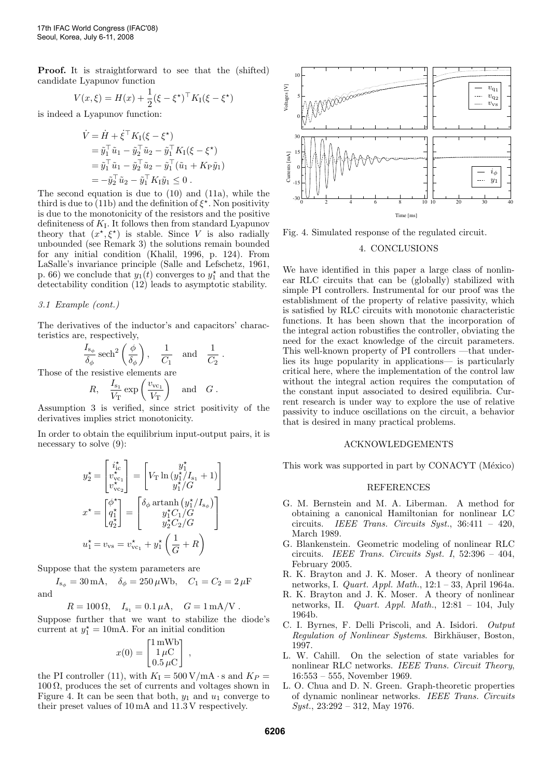Proof. It is straightforward to see that the (shifted) candidate Lyapunov function

$$
V(x,\xi) = H(x) + \frac{1}{2}(\xi - \xi^*)^{\top} K_{\rm I}(\xi - \xi^*)
$$

is indeed a Lyapunov function:

$$
\dot{V} = \dot{H} + \dot{\xi}^{\top} K_{I} (\xi - \xi^*)
$$
  
=  $\tilde{y}_{1}^{\top} \tilde{u}_{1} - \tilde{y}_{2}^{\top} \tilde{u}_{2} - \tilde{y}_{1}^{\top} K_{I} (\xi - \xi^*)$   
=  $\tilde{y}_{1}^{\top} \tilde{u}_{1} - \tilde{y}_{2}^{\top} \tilde{u}_{2} - \tilde{y}_{1}^{\top} (\tilde{u}_{1} + K_{P} \tilde{y}_{1})$   
=  $-\tilde{y}_{2}^{\top} \tilde{u}_{2} - \tilde{y}_{1}^{\top} K_{I} \tilde{y}_{1} \leq 0$ .

The second equation is due to (10) and (11a), while the third is due to (11b) and the definition of  $\xi^*$ . Non positivity is due to the monotonicity of the resistors and the positive definiteness of  $K_I$ . It follows then from standard Lyapunov theory that  $(x^*, \xi^*)$  is stable. Since V is also radially unbounded (see Remark 3) the solutions remain bounded for any initial condition (Khalil, 1996, p. 124). From LaSalle's invariance principle (Salle and Lefschetz, 1961, p. 66) we conclude that  $y_1(t)$  converges to  $y_1^*$  and that the detectability condition (12) leads to asymptotic stability.

#### 3.1 Example (cont.)

The derivatives of the inductor's and capacitors' characteristics are, respectively,

$$
\frac{I_{s_{\phi}}}{\delta_{\phi}}\operatorname{sech}^2\left(\frac{\phi}{\delta_{\phi}}\right), \quad \frac{1}{C_1} \quad \text{and} \quad \frac{1}{C_2} \; .
$$

Those of the resistive elements are

$$
R, \quad \frac{I_{s_1}}{V_{\rm T}} \exp\left(\frac{v_{\rm vc_1}}{V_{\rm T}}\right) \quad \text{and} \quad G.
$$

Assumption 3 is verified, since strict positivity of the derivatives implies strict monotonicity.

In order to obtain the equilibrium input-output pairs, it is necessary to solve (9):

$$
y_2^* = \begin{bmatrix} i_{\text{ic}}^* \\ v_{\text{vc}}^* \\ v_{\text{vc}}^* \end{bmatrix} = \begin{bmatrix} y_1^* \\ V_{\text{T}} \ln \left( y_1^* / I_{\text{s}_1} + 1 \right) \\ y_1^* / G \end{bmatrix}
$$

$$
x^* = \begin{bmatrix} \phi^* \\ q_1^* \\ q_2^* \end{bmatrix} = \begin{bmatrix} \delta_\phi \operatorname{artanh} \left( y_1^* / I_{\text{s}_\phi} \right) \\ y_1^* C_1 / G \\ y_2^* C_2 / G \end{bmatrix}
$$

$$
u_1^* = v_{\text{vs}} = v_{\text{vc}_1}^* + y_1^* \left( \frac{1}{G} + R \right)
$$

Suppose that the system parameters are

 $I_{s_{\phi}} = 30 \text{ mA}, \quad \delta_{\phi} = 250 \,\mu\text{Wb}, \quad C_1 = C_2 = 2 \,\mu\text{F}$ and

 $R = 100 \Omega$ ,  $I_{s_1} = 0.1 \mu A$ ,  $G = 1 \text{ mA/V}$ .

Suppose further that we want to stabilize the diode's current at  $y_1^* = 10 \text{mA}$ . For an initial condition

$$
x(0) = \begin{bmatrix} 1 \text{ mWb} \\ 1 \mu \text{C} \\ 0.5 \mu \text{C} \end{bmatrix} ,
$$

the PI controller (11), with  $K_{\rm I} = 500 \,\mathrm{V/mA \cdot s}$  and  $K_{\rm P} =$  $100 \Omega$ , produces the set of currents and voltages shown in Figure 4. It can be seen that both,  $y_1$  and  $u_1$  converge to their preset values of 10 mA and 11.3 V respectively.



Fig. 4. Simulated response of the regulated circuit.

### 4. CONCLUSIONS

We have identified in this paper a large class of nonlinear RLC circuits that can be (globally) stabilized with simple PI controllers. Instrumental for our proof was the establishment of the property of relative passivity, which is satisfied by RLC circuits with monotonic characteristic functions. It has been shown that the incorporation of the integral action robustifies the controller, obviating the need for the exact knowledge of the circuit parameters. This well-known property of PI controllers —that underlies its huge popularity in applications— is particularly critical here, where the implementation of the control law without the integral action requires the computation of the constant input associated to desired equilibria. Current research is under way to explore the use of relative passivity to induce oscillations on the circuit, a behavior that is desired in many practical problems.

#### ACKNOWLEDGEMENTS

This work was supported in part by CONACYT (México)

#### REFERENCES

- G. M. Bernstein and M. A. Liberman. A method for obtaining a canonical Hamiltonian for nonlinear LC circuits. IEEE Trans. Circuits Syst.,  $36:411 - 420$ , March 1989.
- G. Blankenstein. Geometric modeling of nonlinear RLC circuits. IEEE Trans. Circuits Syst. I,  $52:396 - 404$ , February 2005.
- R. K. Brayton and J. K. Moser. A theory of nonlinear networks, I. Quart. Appl. Math., 12:1 – 33, April 1964a.
- R. K. Brayton and J. K. Moser. A theory of nonlinear networks, II. *Quart. Appl. Math.*,  $12:81 - 104$ , July 1964b.
- C. I. Byrnes, F. Delli Priscoli, and A. Isidori. Output Regulation of Nonlinear Systems. Birkhäuser, Boston, 1997.
- L. W. Cahill. On the selection of state variables for nonlinear RLC networks. IEEE Trans. Circuit Theory, 16:553 – 555, November 1969.
- L. O. Chua and D. N. Green. Graph-theoretic properties of dynamic nonlinear networks. IEEE Trans. Circuits Syst., 23:292 – 312, May 1976.